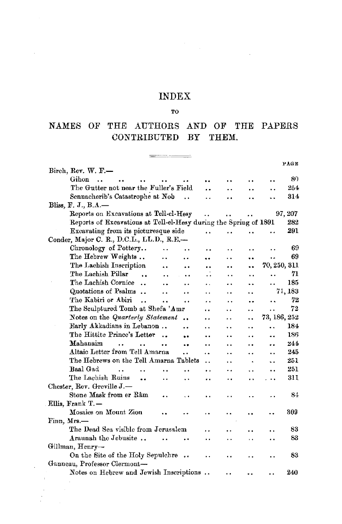#### INDEX

 $\mathcal{L}_{\mathcal{A}}$ 

#### TO

### NAMES OF THE AUTHORS AND OF THE PAPERS CONTRIBUTED BY THEM.

 $\frac{1}{\sqrt{1-\frac{1}{2}}\left(\frac{1}{\sqrt{1-\frac{1}{2}}}\right)^2}=\frac{1}{\sqrt{1-\frac{1}{2}}\left(\frac{1}{\sqrt{1-\frac{1}{2}}}\right)^2}=\frac{1}{\sqrt{1-\frac{1}{2}}\left(\frac{1}{\sqrt{1-\frac{1}{2}}}\right)^2}=\frac{1}{\sqrt{1-\frac{1}{2}}\left(\frac{1}{\sqrt{1-\frac{1}{2}}}\right)^2}=\frac{1}{\sqrt{1-\frac{1}{2}}\left(\frac{1}{\sqrt{1-\frac{1}{2}}}\right)^2}=\frac{1}{\sqrt{1-\frac{1}{2}}\left(\frac{1}{\sqrt$ 

| Birch, Rev. W. F.-                                                        |                      |                      |                      |                      | PAGE    |
|---------------------------------------------------------------------------|----------------------|----------------------|----------------------|----------------------|---------|
| Gihon                                                                     |                      |                      |                      |                      | 80      |
| The Gutter not near the Fuller's Field                                    | . .                  |                      |                      |                      | 254     |
| Sennacherib's Catastrophe at Nob                                          | . .                  | $\ddot{\phantom{a}}$ |                      |                      | 314     |
| Bliss, $F. J., B.A.$ —                                                    |                      |                      | . .                  |                      |         |
| Reports on Excavations at Tell-el-Hesy                                    |                      | $\ddot{\phantom{a}}$ |                      |                      | 97, 207 |
| Reports of Excavations at Tell-el-Hesy during the Spring of 1891          |                      |                      |                      |                      | 282     |
| Excavating from its picturesque side                                      | $\ddot{\phantom{a}}$ | . .                  |                      |                      | 291     |
| Conder, Major C. R., D.C.L., LL.D., R.E.-                                 |                      |                      |                      |                      |         |
| Chronology of Pottery<br>$\ddot{\phantom{1}}$                             | ٠.                   |                      |                      |                      | 69      |
| The Hebrew Weights<br>. .                                                 | $\ddot{\phantom{0}}$ |                      | ٠.                   |                      | 69      |
| The Lachish Inscription<br>a.<br>٠.                                       | . .                  |                      | $\ddot{\phantom{0}}$ | 70, 250, 311         |         |
| The Lachish Pillar<br>$\ddot{\phantom{a}}$<br>. .<br>$\ddot{\phantom{a}}$ | . .                  |                      | . .                  |                      | 71      |
| The Lachish Cornice<br>$\ddot{\phantom{a}}$<br>$\ddot{\phantom{a}}$       | . .                  |                      | . .                  |                      | 185     |
| Quotations of Psalms<br>$\ddot{\phantom{a}}$<br>. .                       | . .                  |                      |                      |                      | 71, 183 |
| The Kabiri or Abiri<br>$\ddot{\phantom{a}}$<br>$\ddot{\phantom{a}}$<br>   | ٠.                   |                      |                      |                      | 72      |
| The Sculptured Tomb at Shefa 'Amr                                         | . .                  | . .                  |                      | $\ddot{\phantom{0}}$ | 72      |
| Notes on the Quarterly Statement                                          | ٠.                   |                      |                      | 73, 186, 252         |         |
| Early Akkadians in Lebanon                                                | . .                  | Ξ.                   |                      | ٠.                   | 184     |
| The Hittite Prince's Letter                                               | . .                  |                      |                      |                      | 186     |
| Mahanaim                                                                  | . .                  |                      |                      |                      | 244     |
| Altaic Letter from Tell Amarna<br>. .                                     | ٠.                   |                      |                      |                      | 245     |
| The Hebrews on the Tell Amarna Tablets                                    | $\ddot{\phantom{1}}$ |                      | $\ddot{\phantom{a}}$ | ٠.                   | 251     |
| <b>Baal</b> Gad                                                           | $\ddot{\phantom{1}}$ | . .                  | $\ddot{\phantom{0}}$ | $\ddot{\phantom{a}}$ | 251     |
| The Lachish Ruins<br><br>$\ddot{\phantom{0}}$                             |                      | . .                  | . .                  | $\ddot{\phantom{0}}$ | 311     |
| Chester, Rev. Greville J.-                                                |                      |                      |                      |                      |         |
| Stone Mask from er Râm                                                    |                      |                      |                      |                      | 84      |
| Ellis, Frank T.-                                                          |                      |                      |                      |                      |         |
| Mosaics on Mount Zion                                                     |                      |                      |                      |                      | 309     |
| Finn, Mrs.-                                                               |                      |                      |                      |                      |         |
| The Dead Sea visible from Jerusalem                                       |                      |                      |                      |                      | 83      |
| Araunah the Jebusite                                                      |                      |                      | $\ddot{\phantom{1}}$ | . .                  | 83      |
| Gillman, Henry-                                                           |                      |                      |                      |                      |         |
| On the Site of the Holy Sepulchre<br>$\ddot{\phantom{a}}$                 |                      |                      |                      |                      | 83      |
| Ganneau, Professor Clermont-                                              |                      |                      |                      |                      |         |
| Notes on Hebrew and Jewish Inscriptions                                   |                      |                      |                      |                      | 240     |

 $\bar{\phantom{a}}$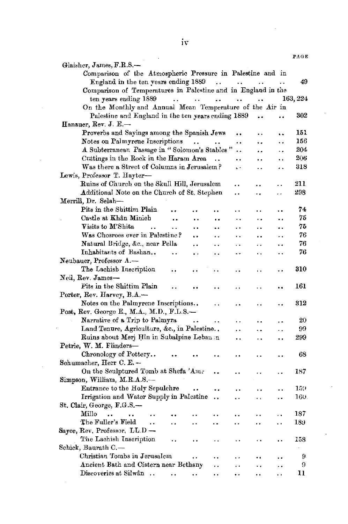|                                                                                                                                          | PAGE     |
|------------------------------------------------------------------------------------------------------------------------------------------|----------|
| Glaisher, James, F.R.S.-                                                                                                                 |          |
| Comparison of the Atmospheric Pressure in Palestine and in                                                                               |          |
| England in the ten years ending 1889<br>$\sim 100$<br>$\sim 100$<br>$\sim$ $\sim$                                                        | 49<br>Ω. |
| Comparison of Temperatures in Palestine and in England in the                                                                            |          |
| ten years ending 1889<br>$\mathbf{r}$ , $\mathbf{r}$ , $\mathbf{r}$<br>$\sim 10$<br>$\ddot{\phantom{0}}$<br>$\sim 10^{-11}$<br>$\cdot$ . | 163, 224 |
| On the Monthly and Annual Mean Temperature of the Air in                                                                                 |          |
| Palestine and England in the ten years ending 1889<br>. .<br>                                                                            | 302      |
| Hanauer, Rev. J. E.-                                                                                                                     |          |
| Proverbs and Sayings among the Spanish Jews<br>$\ddot{\phantom{a}}$<br>. .<br>٠.                                                         | 151      |
| Notes on Palmyrene Inscriptions<br>$\sim 10$<br><br><br>٠.                                                                               | 156      |
| A Subterranean Passage in "Solomon's Stables"<br><br>$\ddot{\phantom{0}}$<br>٠.                                                          | 204      |
| Cuttings in the Rock in the Haram Area<br>$\ddot{\phantom{a}}$<br>$\ddot{\phantom{1}}$<br>٠.<br>٠.                                       | 206      |
| Was there a Street of Columns in Jerusalem?<br>ç.<br>$\overline{1}$<br>٠.                                                                | 318      |
| Lewis, Professor T. Hayter-                                                                                                              |          |
| Ruins of Church on the Skull Hill, Jerusalem<br>. .<br>. .                                                                               | 211      |
| Additional Note on the Church of St. Stephen<br>. .<br>. .                                                                               | 298      |
| Merrill, Dr. Selah-                                                                                                                      |          |
| Pits in the Shittim Plain<br>$\ddot{\phantom{0}}$<br>. .                                                                                 | 74       |
| Castle at Khân Minieh<br>$\ddot{\phantom{0}}$<br>$\ddot{\phantom{1}}$<br>. .<br>. .<br>٠.<br>                                            | 75       |
| Visits to M'Shita<br>$\ddot{\phantom{a}}$<br>٠.<br>. .<br><br>. .<br>. .<br>                                                             | 75       |
| Was Chosroes ever in Palestine?<br><br>$\ddot{\phantom{0}}$<br>. .<br>. .<br>. .                                                         | 76       |
| Natural Bridge, &c., near Pella<br>. .<br>$\ddot{\phantom{a}}$<br>$\ddot{\phantom{0}}$<br>٠.<br>. .                                      | 76       |
| Inhabitants of Bashan<br>$\ddot{\phantom{0}}$<br>. .<br>μ.<br>$\ddot{\phantom{0}}$                                                       | 76       |
| Neubauer, Professor A.-                                                                                                                  |          |
| The Lachish Inscription                                                                                                                  | 310      |
| Neil, Rev. James—                                                                                                                        |          |
| Pits in the Shittim Plain                                                                                                                | 161      |
| Porter, Rev. Harvey, B.A.-                                                                                                               |          |
| Notes on the Palmyrene Inscriptions<br>. .<br>٠.                                                                                         | 312      |
| Post, Rev. George E., M.A., M.D., F.L.S.-                                                                                                |          |
| Narrative of a Trip to Palmyra<br>٠.                                                                                                     | $_{20}$  |
| Land Tenure, Agriculture, &c., in Palestine<br>. .<br>$\ddot{\phantom{1}}$                                                               | 99       |
| Ruins about Meri Hîn in Subalpine Lebanen<br>٠.<br>τ,                                                                                    | 299      |
| Petrie, W. M. Flinders-                                                                                                                  |          |
| Chronology of Pottery                                                                                                                    | 68       |
| Schumacher, Herr C. E.-                                                                                                                  |          |
| On the Sculptured Tomb at Shefa 'Ame<br>٠.                                                                                               | 187      |
| Simpson, William, M.R.A.S.-                                                                                                              |          |
| Entrance to the Holy Sepulchre<br>٠.<br>٠.                                                                                               | 159      |
| Irrigation and Water Supply in Palestine<br>. .<br>٠.<br>٠.                                                                              | 160.     |
| St. Clair, George, F.G.S.-                                                                                                               |          |
| Millo<br>$\ddot{\phantom{a}}$<br>. .                                                                                                     | 187      |
| The Fuller's Field<br>$\ddot{\phantom{a}}$<br>. .<br>٠.<br><br>.,                                                                        | 189      |
| Sayce, Rev. Professor, $LL.D$ —                                                                                                          |          |
| The Lachish Inscription                                                                                                                  | 158      |
| Schick, Baurath C.—                                                                                                                      |          |
| Christian Tombs in Jerusalem<br>. .                                                                                                      | 9        |
| Ancient Bath and Cistern near Bethany<br>٠.                                                                                              | 9        |
| Discoveries at Silwân<br>٠.<br>٠.                                                                                                        | 11       |
|                                                                                                                                          |          |

l,

 $\ddot{\phantom{0}}$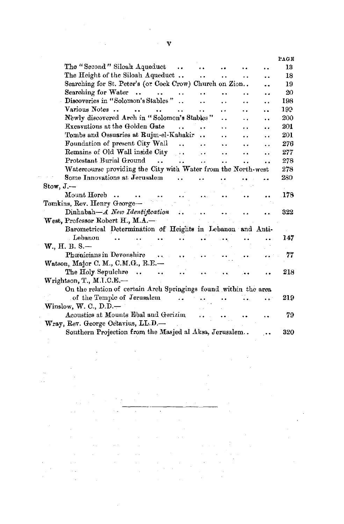|              |                                                                  |                      |                      |                      |                      | PAGE |
|--------------|------------------------------------------------------------------|----------------------|----------------------|----------------------|----------------------|------|
|              | The "Second" Siloah Aqueduct                                     | $\ddot{\phantom{a}}$ |                      |                      |                      | 13   |
|              | The Height of the Siloah Aqueduct                                |                      |                      |                      |                      | 18   |
|              | Searching for St. Peter's (or Cock Crow) Church on Zion          |                      |                      |                      |                      | 19   |
|              | Searching for Water<br>$\ddot{\phantom{a}}$<br>$\ddotsc$         | $\ddot{\phantom{a}}$ | $\ddot{\phantom{0}}$ |                      |                      | 20   |
|              | Discoveries in "Solomon's Stables"                               | $\ddot{\phantom{a}}$ |                      | . .                  | $\ddot{\phantom{1}}$ | 198  |
|              | Various Notes                                                    | $\ddot{\phantom{a}}$ |                      | . .                  |                      | 199  |
|              | Newly discovered Arch in "Solomon's Stables"                     |                      |                      |                      |                      | 200  |
|              | Excavations at the Golden Gate                                   |                      | . .                  |                      | $\ddot{\phantom{a}}$ | 201  |
|              | Tombs and Ossuaries at Rujm-el-Kahakir                           |                      | $\ddot{\phantom{a}}$ |                      |                      | 201  |
|              | Foundation of present City Wall                                  |                      |                      |                      |                      | 276  |
|              | Remains of Old Wall inside City                                  | $\sim$ .             | $\sim$               | ٠.                   | $\ddot{\phantom{a}}$ | 277  |
|              | Protestant Burial Ground<br>$\mathbf{L}$                         | $\ddot{\phantom{a}}$ | $\ddot{\phantom{a}}$ | $\ddot{\phantom{a}}$ |                      | 278  |
|              | Watercourse providing the City with Water from the North-west    |                      |                      |                      |                      | 278  |
|              | Some Innovations at Jerusalem                                    |                      |                      |                      |                      | 280  |
| $Stow, J, -$ |                                                                  |                      |                      |                      |                      |      |
|              | Mount Horeb                                                      |                      |                      |                      |                      | 178  |
|              | Tomkins, Rev. Henry George-                                      |                      |                      |                      |                      |      |
|              | $Dinhabah-A$ New Identification                                  |                      |                      |                      |                      | 322  |
|              | West, Professor Robert H., M.A.-                                 |                      |                      |                      |                      |      |
|              | Barometrical Determination of Heights in Lebanon and Anti-       |                      |                      |                      |                      |      |
|              | Lebanon                                                          |                      |                      |                      |                      | 147  |
|              | W., H. B. S.-                                                    |                      |                      |                      |                      |      |
|              | Phœnicians in Devonshire<br>$\sim$                               |                      |                      |                      |                      | 77   |
|              | Watson, Major C. M., C.M.G., R.E.-                               |                      |                      |                      |                      |      |
|              | The Holy Sepulchre<br>$\sim$                                     |                      |                      |                      |                      | 218  |
|              | $W$ rightson, T., M.I.C.E. $-$                                   |                      |                      |                      |                      |      |
|              | On the relation of certain Arch Springings found within the area |                      |                      |                      |                      |      |
|              | of the Temple of Jerusalem                                       |                      |                      |                      |                      | 219  |
|              | Winslow, W. C., $D.D.$ —                                         |                      |                      |                      |                      |      |
|              | Acoustics at Mounts Ebal and Gerizim                             |                      |                      |                      |                      | 79   |
|              | Wrav, Rev. George Octavius, LL.D.—                               |                      |                      |                      |                      |      |
|              | Southern Projection from the Masjed al Aksa, Jerusalem           |                      |                      |                      |                      | 320  |
|              |                                                                  |                      |                      |                      |                      |      |

 $\frac{1}{2}$ 

 $\tau^{\pm}$ 

 $\hat{r}$  .

 $\bar{\beta}$ 

 $\overline{\phantom{a}}$ 

 $\sim$   $\sim$ 

 $\bar{\nu}$  is

 $\mu$  .

 $\sim 10^6$ 

 $\mathcal{A}^{\pm}$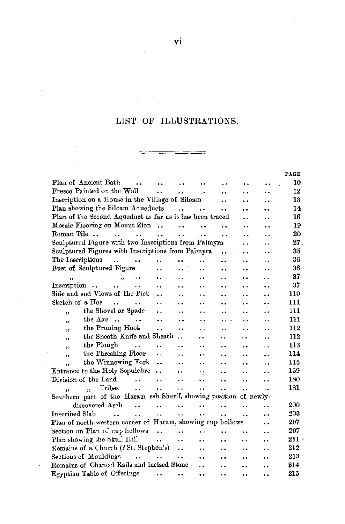## LIST OF ILLUSTRATIONS.

 $\equiv$ 

**PAGE** 

| Plan of Ancient Bath                                                  |                      |                      |                      |                      |                      |                      | 10      |
|-----------------------------------------------------------------------|----------------------|----------------------|----------------------|----------------------|----------------------|----------------------|---------|
| Fresco Painted on the Wall                                            |                      |                      |                      |                      | $\ddot{\phantom{0}}$ | . .                  | 12      |
| Inscription on a House in the Village of Siloam                       |                      |                      |                      | . .                  |                      | $\ddot{\phantom{0}}$ | 13      |
| Plan showing the Siloam Aqueducts                                     |                      | $\sim$ 100 $\sim$    | $\rightarrow$        | . .                  |                      |                      | 14      |
| Plan of the Second Aqueduct as far as it has been traced              |                      |                      |                      |                      |                      | ٠.                   | 16      |
| Mosaic Flooring on Mount Zion                                         |                      |                      |                      |                      | . .                  | . .                  | 19      |
| Roman Tile<br>                                                        | $\ddot{\phantom{a}}$ |                      | $\ddot{\phantom{1}}$ | . .                  |                      | . .                  | 20      |
| Sculptured Figure with two Inscriptions from Palmyra                  |                      |                      |                      |                      | $\ddot{\phantom{0}}$ | ٠.                   | $27\,$  |
| Sculptured Figures with Inscriptions from Palmyra                     |                      |                      |                      | $\ddot{\phantom{0}}$ | . .                  | . .                  | 35      |
| The Inscriptions<br>$\mathbf{r}$ . The set of $\mathbf{r}$            | $\ddot{\phantom{a}}$ |                      | . .                  | . .                  | . .                  | . .                  | 36      |
| Bust of Sculptured Figure                                             |                      |                      |                      |                      |                      |                      | 36      |
| $\overline{\mathbf{v}}$                                               |                      |                      |                      |                      | . .                  |                      | 37      |
| Inscription<br>$\cdots$                                               | ٠.                   |                      |                      |                      | . .                  | . .                  | 37      |
| Side and end Views of the Pick                                        | $\ddot{\phantom{a}}$ |                      |                      |                      | . .                  | . .                  | 110     |
| Sketch of a Hoe<br>$\ddot{\phantom{a}}$                               |                      | $\ddot{\phantom{1}}$ |                      | $\ddot{\phantom{a}}$ |                      |                      | 111     |
| the Shovel or Spade<br>33                                             |                      |                      | . .                  | $\ddot{\phantom{1}}$ | . .                  | $\ddot{\phantom{a}}$ | 111     |
| the Axe<br>,,                                                         | ٠.                   | $\ddot{\phantom{0}}$ | $\ddot{\phantom{0}}$ | $\cdots$             |                      | . .                  | 111     |
| the Pruning Hook<br>,                                                 | $\ddot{\phantom{a}}$ | $\ddot{\phantom{a}}$ | . .                  | $\ddotsc$            |                      | . .                  | 112     |
| the Sheath Knife and Sheath<br>$\overline{\mathbf{z}}$                |                      |                      |                      |                      | $\ddot{\phantom{a}}$ | $\ddot{\phantom{a}}$ | 112     |
| the Plough<br>$\ddot{\phantom{a}}$<br>$\overline{\mathbf{z}}$         |                      | $\ddot{\phantom{0}}$ |                      |                      | . .                  |                      | 113     |
| the Threshing Floor<br>,,                                             | . .                  | . .                  | . .                  | $\ddot{\phantom{a}}$ | $\ddot{\phantom{0}}$ | $\ddot{\phantom{0}}$ | 114     |
| the Winnowing Fork<br>٠,                                              |                      | . .                  | $\ddot{\phantom{0}}$ | $\ddot{\phantom{a}}$ | $\ddot{\phantom{a}}$ |                      | 115     |
| Entrance to the Holy Sepulchre                                        | $\ddot{\phantom{a}}$ | . .                  | ٠.                   |                      | $\ddot{\phantom{a}}$ | $\ddot{\phantom{0}}$ | 169     |
| Division of the Land<br>$\ddot{\phantom{a}}$                          | $\ddot{\phantom{0}}$ | $\ddot{\phantom{0}}$ |                      | $\ddot{\phantom{a}}$ | $\ddot{\phantom{a}}$ | . .                  | 180     |
| Tribes<br>$\ddot{\phantom{a}}$<br>$\ddot{\phantom{0}}$                | $\ddot{\phantom{a}}$ | $\ddot{\phantom{a}}$ | $\ddot{\phantom{0}}$ | $\ddot{\phantom{0}}$ | $\ddot{\phantom{0}}$ | $\ddot{\phantom{0}}$ | 181     |
| Southern part of the Haram esh Sherif, showing position of newly-     |                      |                      |                      |                      |                      |                      |         |
| discovered Arch<br>$\overline{\phantom{a}}$                           |                      |                      |                      |                      | . .                  | . .                  | 200     |
| <b>Inscribed Slab</b><br>$\ddot{\phantom{a}}$<br>$\ddot{\phantom{a}}$ | $\ddot{\phantom{a}}$ |                      |                      |                      | ٠.                   | . .                  | 203     |
| Plan of north-western corner of Haram, showing cup hollows            |                      |                      |                      |                      |                      |                      | 207     |
| Section on Plan of cup hollows                                        | $\ddot{\phantom{a}}$ | $\ddot{\phantom{0}}$ |                      | $\ddot{\phantom{0}}$ |                      |                      | 207     |
| Plan showing the Skull Hill                                           | sales and            | $\ddot{\phantom{a}}$ |                      | $\ddot{\phantom{a}}$ | . .                  | . .                  | $211 -$ |
| Remains of a Church (? St. Stephen's)                                 |                      | $\ddot{\phantom{a}}$ |                      | $\ddot{\phantom{0}}$ | $\ddot{\phantom{a}}$ |                      | 212     |
| Sections of Mouldings                                                 |                      |                      | $\ddot{\phantom{0}}$ | . .                  | $\ddot{\phantom{0}}$ |                      | 213     |
| Remains of Chancel Rails and incised Stone                            |                      |                      | . .                  | $\ddot{\phantom{a}}$ |                      |                      | 214     |
| Egyptian Table of Offerings                                           |                      |                      | $\ddot{\phantom{0}}$ | . .                  |                      | ٠.                   | 215     |

 $\cdot$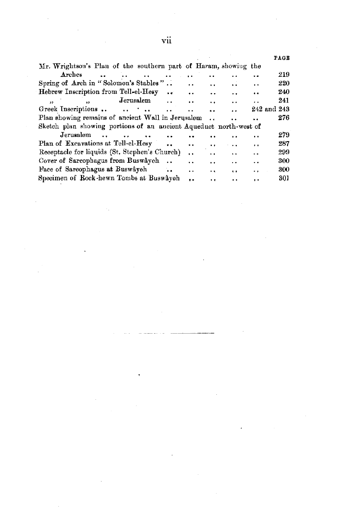|                                                                    |                      |                      |                      |                      | PAGE        |
|--------------------------------------------------------------------|----------------------|----------------------|----------------------|----------------------|-------------|
| Mr. Wrightson's Plan of the southern part of Haram, showing the    |                      |                      |                      |                      |             |
| Arches<br>$\ddot{\phantom{a}}$                                     |                      |                      | . .                  |                      | 219         |
| Spring of Arch in "Solomon's Stables"                              | $\ddot{\phantom{0}}$ | $\ddot{\phantom{0}}$ | $\ddot{\phantom{0}}$ | $\ddot{\phantom{0}}$ | 220         |
| Hebrew Inscription from Tell-el-Hesy<br>$\bullet$                  | $\ddot{\phantom{a}}$ | . .                  | $\ddot{\phantom{0}}$ | $\ddot{\phantom{0}}$ | 240         |
| Jerusalem<br>$\overline{\mathbf{r}}$<br>$\ddot{\phantom{0}}$<br>55 | $\ddot{\phantom{0}}$ | $\ddot{\phantom{0}}$ | $\ddot{\phantom{0}}$ | $\cdot$ .            | 241         |
| Greek Inscriptions<br>$\ddot{\phantom{a}}$                         |                      |                      | $\ddot{\phantom{a}}$ |                      | 242 and 243 |
| Plan showing remains of ancient Wall in Jerusalem                  |                      |                      |                      |                      | 276         |
| Sketch plan showing portions of an ancient Aqueduct north-west of  |                      |                      |                      |                      |             |
| Jerusalem                                                          |                      |                      |                      | . .                  | 279         |
| Plan of Excavations at Tell-el-Hesy                                |                      | $\cdot$ .            | $\ddot{\phantom{0}}$ | $\ddot{\phantom{1}}$ | 287         |
| Receptacle for liquids (St. Stephen's Church)                      | $\ddot{\phantom{a}}$ | $\ddotsc$            | $\ddot{\phantom{0}}$ | $\ddot{\phantom{0}}$ | 299         |
| Cover of Sareophagus from Buswayeh                                 | $\ddot{\phantom{0}}$ | $\cdot$ $\cdot$      | $\ddot{\phantom{0}}$ | . .                  | 300         |
| Face of Sarcophagus at Buswâyeh                                    | $\ddot{\phantom{0}}$ | $\ddot{\phantom{1}}$ | $\ddot{\phantom{a}}$ | . .                  | 300         |
| Specimen of Rock-hewn Tombs at Buswâyeh                            |                      | $\cdots$             | $\ddot{\phantom{0}}$ | $\ddot{\bullet}$     | 301         |

a<br>Alamania da Sa

 $\sim$   $\sim$ 

 $\hat{\mathbf{r}}$ 

 $\sim$ 

 $\mathcal{L}_{\text{max}}$  and  $\mathcal{L}_{\text{max}}$  .

 $\mathcal{L}^{\text{max}}_{\text{max}}$  and  $\mathcal{L}^{\text{max}}_{\text{max}}$ 

 $\mathcal{L}^{\text{max}}_{\text{max}}$  and  $\mathcal{L}^{\text{max}}_{\text{max}}$ 

 $\hat{\boldsymbol{\beta}}$ 

 $\label{eq:2.1} \frac{1}{2} \int_{\mathbb{R}^3} \frac{1}{\sqrt{2}} \, \frac{1}{\sqrt{2}} \, \frac{1}{\sqrt{2}} \, \frac{1}{\sqrt{2}} \, \frac{1}{\sqrt{2}} \, \frac{1}{\sqrt{2}} \, \frac{1}{\sqrt{2}} \, \frac{1}{\sqrt{2}} \, \frac{1}{\sqrt{2}} \, \frac{1}{\sqrt{2}} \, \frac{1}{\sqrt{2}} \, \frac{1}{\sqrt{2}} \, \frac{1}{\sqrt{2}} \, \frac{1}{\sqrt{2}} \, \frac{1}{\sqrt{2}} \, \frac{1}{\sqrt{2}} \,$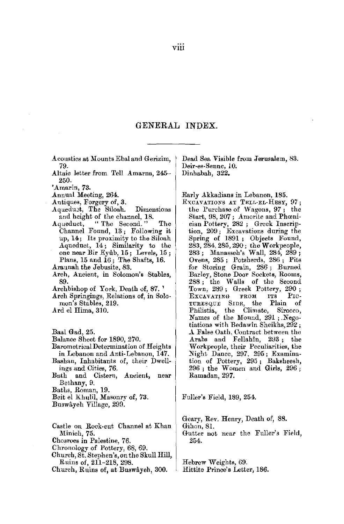# GENERAL INDEX.

Acoustics at Mounts Ebal and Gerizim, 79.

- Altaic letter from Tell Amarna, 245- 250.
- 'Amarin, 73.
- Annual Meeting, 264.
- Antiques, Forgery of, 3.
- Aquedust, The Siloah. Dimensions and height of the channel, 18.<br>Aqueduct. "The Second."
- "The Second." The Channel Found, 13 ; Following it up, 14; Its proximity to the Siloah Aqueduct, 14; Similarity to the one near Bir Eyûb, 15; Levels, 15; Plans, 15 and 16 ; The Shafts, 16.
- Araunah the Jebusite, 83.
- Arch, Ancient, in Solomon's Stables, 89.

Archbishop of York, Death of, 87. 1

- Arch Springings, Relations of, in Solomon's Stables, 219.
- Ard el Hima, 310.

Baal Gad, 25.

- Balance Sheet for 1890, 270.
- Barometrical Determination of Heights in Lebanon and Anti-Lebanon, 147.
- Bashan, Inhabitants of, their Dwellings and Cities, 76.
- Bath and Cistern, Ancient, near Bethany, 9.
- Baths, Roman, 19.
- Beitel Khulil, Masonry of, 73.
- Buswayeh Village, 299.
- Castle on Rock-cut Channel at Khan Minieh, 75. Chosroes in Palestine, 76. Chronology of Pottery, 68, 69. Church, St. Stephen's, on the Skull Hill, Ruins of, 211-218, 298.
- Church, Ruins of, at Buswayeh, 300.

Dead Sea Visible from Jerusalem, 83. Deir-es-Senne, 10. Dinhabah, 322.

Early Akkadians in Lebanon, 185.

ExoAYATIONS AT TELL-EL-HESY, 97; the Purchase of Wagons, 97; the Start, 98, 207; Amorite and Phamiciau Pottery, 282 ; Greek Inscription, 209; Excavations during the Spring of 1891; Objects Found, 283, 284, 285, 290; the W orkpeople, 283; Manasseh's Wall, 284, 289; Ovens, 285; Potsherds, 286; Pits for Storing Grain, 286; Burned Barley, Stone Door Sockets, Rooms, 288 ; the Walls of the Second Town, 289; Greek Pottery, 290;<br>Excavaring FROM ITS PIC-Excavating from its Pic-<br>turesque Side, the Plain of TURESQUE SIDE, the Plain of<br>Philistia, the Climate, Sirocco, Names of the Mound, 291; .Negotiations with Bedawin Sheikhs,292; *.A.* False Oath. Contract between the Arabs and Fellahin, 293; the Workpeople, their Peculiarities, the Night Dance, 297, 295; Examination of Pottery, 295; Baksheesh, 296 ; the Women and Girls, 296 ; Ramadan, 297.

Fuller's Field, 189, 254.

Geary, Rev. Henry, Death of, 88. Gihon, 81. Gutter not near the Fuller's Field, 254.

Hebrew Weights, 69: Hittite Prince's Letter, 186.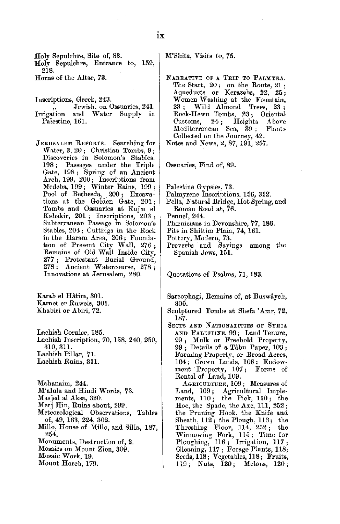IX

Holy Sepulchre, Site of, 83. Holy Sepulchre, Entrance to, 159, 218.

Horns of the Altar, 73.

Inscriptions, Greek, 243.

- ,, Jewish, on Ossuaries, **241.**  and Water Supply in Palestine, 161.
- JERUSALEM REPORTS. Searching for Water, 3, 20; Christian Tombs, 9; Discoveries in Solomon's Stables, 198 ; Passages under the Triple Gate, 198 ; Spring of an Ancient Arch, 199, 200; Inscriptions from Medeba, 199; Winter Rains, 199; Pool of Bethesda, 200; Excavations at the Golden Gate, 201 ; Tombs and Ossuaries at Rujm el Kahakir, 201 ; Inscriptions, 203 ; Subterranean Passage in Solomon's Stables, 204; Cuttings in the Roek in the Haram Area, 206; Foundation of Present City Wall, 276 ; Remains of Old Wall Inside City, **277** ; Protestant Burial Ground, 278 ; Ancient Watercourse, 278 ; Innovations at Jerusalem, 280.

Karab el Hatim, 301. Karnet er Ruweis, 301. Kbabiri or Abiri, 72.

Lachish Cornice, 185. Lachish Inscription, 70, 158, 240, 250, 310,311. Lachish Pillar, 71. Lachish Ruins, 311.

Mahanaim, 244. M'alula and Hindi Words, 73. Masjed al Aksa, 320. Merj Hin, Ruins about, 299. Meteorological Observations, Tables of, 49, 163, 224, 302. Milla, House of Millo, and Silla, 187, 254, Monuments, Destruction of, **2.**  Mosaics on Mount Zion, 309.

Mosaic Wark, 19.

Mount Horeb, 179.

M'Shita, Visits to, 75.

NARRATIVE OF **A** TRIP TO **PALMYRA.**  The Start, 20 ; on the Route, 21 ; Aqueducts or Kerazehs, 22, 25; Women Washing at the Fountain,<br>23 : Wild Almond Trees. 23 : Wild Almond Rock-Ilewn Tombs, 23; Oriental Customs, 24; Heights *A* hove Mediterranean Collected on the Journey, 42. Notes and News, 2, 87, 191, 257.

Ossuaries, Find of, 89.

Palestine Gypsies, 73.

- Palmyrene Inscriptions, 156, 312.
- Pella, Natural Bridge, Hot Spring, and Roman Road at, 76.
- Penuel, 244.
- Phcenicians in Devonshire, 77, 186.
- Pits in Shittim Plain, 74, 161.

Pottery, Modern, 73.

Proverbs and Sayings among the Spanish Jews, 151.

Quotations of Psalms, 71, 183.

- Sarcophagi, Remains of, at Buswayeh, 300.
- Sculptured Tombs at Shefa 'Amr, 72, 187.
- SECTS AND NATIONALITIES OF SYRIA. AND PALESTINE, 99; Land Tenure, 99 ; Mulk or Freehold Property, 99 ; Details of a Tahu Paper, 103 ; Farming Property, or Broad Acres, 104; Crown Lands, 106; Endow-<br>ment Property, 107; Forms of ment Property, 107; Rental of Land, 109.

AGRICULTURE, 109; Measures of Land, 109; Agricultural Imple-<br>ments, 110; the Pick, 110; the<br>Hoe, the Spade, the Axe, 111, 252; the Pruning Hook, the Knife and Sheath, 112; the Plough, ll3; the Threshing Floor, 114, 252; the Winnowing Fork, ll5; Time for Ploughing, 116 ; Irrigation, 117; Gleaning, 117; Forage Plants, 118; Seeds, 118; Vegetables, 118; Fruits, llfl; Nuts, 120; Melons, 120;